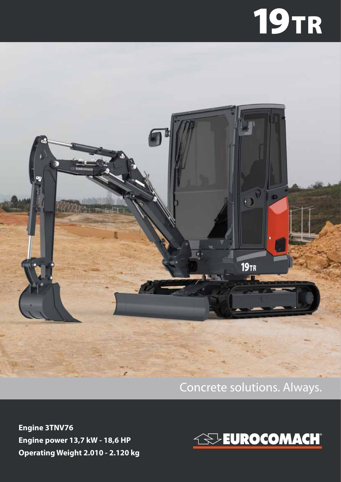# **19TR**



#### Concrete solutions. Always.

**Engine 3TNV76 Engine power 13,7 kW - 18,6 HP Operating Weight 2.010 - 2.120 kg**